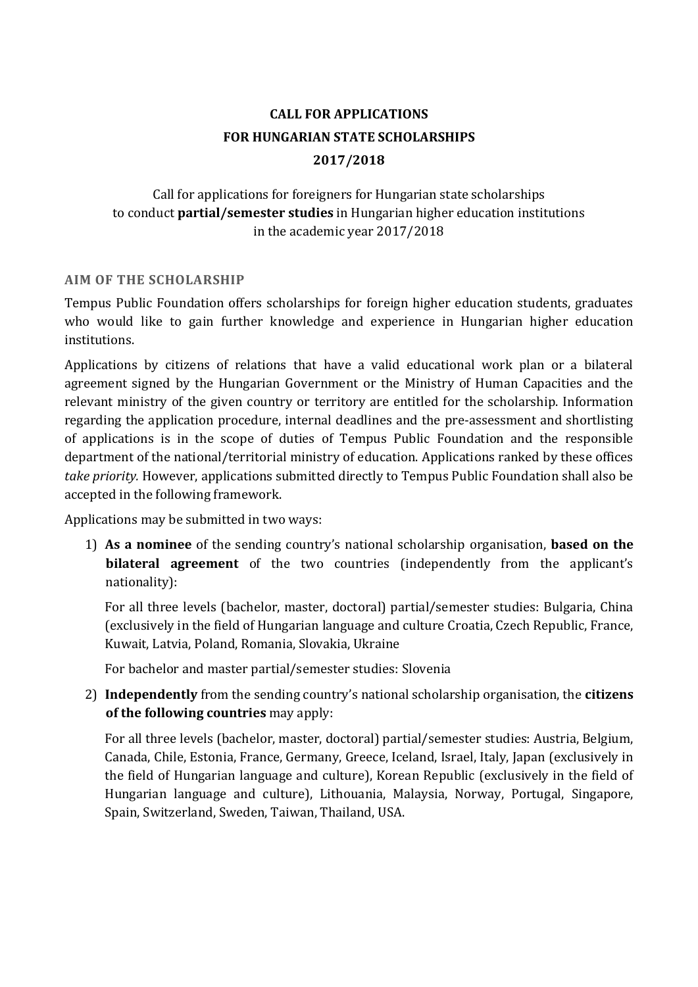# **CALL FOR APPLICATIONS FOR HUNGARIAN STATE SCHOLARSHIPS 2017/2018**

# Call for applications for foreigners for Hungarian state scholarships to conduct **partial/semester studies** in Hungarian higher education institutions in the academic year 2017/2018

## **AIM OF THE SCHOLARSHIP**

Tempus Public Foundation offers scholarships for foreign higher education students, graduates who would like to gain further knowledge and experience in Hungarian higher education institutions.

Applications by citizens of relations that have a valid educational work plan or a bilateral agreement signed by the Hungarian Government or the Ministry of Human Capacities and the relevant ministry of the given country or territory are entitled for the scholarship. Information regarding the application procedure, internal deadlines and the pre-assessment and shortlisting of applications is in the scope of duties of Tempus Public Foundation and the responsible department of the national/territorial ministry of education. Applications ranked by these offices *take priority.* However, applications submitted directly to Tempus Public Foundation shall also be accepted in the following framework.

Applications may be submitted in two ways:

1) **As a nominee** of the sending country's national scholarship organisation, **based on the bilateral agreement** of the two countries (independently from the applicant's nationality):

For all three levels (bachelor, master, doctoral) partial/semester studies: Bulgaria, China (exclusively in the field of Hungarian language and culture Croatia, Czech Republic, France, Kuwait, Latvia, Poland, Romania, Slovakia, Ukraine

For bachelor and master partial/semester studies: Slovenia

2) **Independently** from the sending country's national scholarship organisation, the **citizens of the following countries** may apply:

For all three levels (bachelor, master, doctoral) partial/semester studies: Austria, Belgium, Canada, Chile, Estonia, France, Germany, Greece, Iceland, Israel, Italy, Japan (exclusively in the field of Hungarian language and culture), Korean Republic (exclusively in the field of Hungarian language and culture), Lithouania, Malaysia, Norway, Portugal, Singapore, Spain, Switzerland, Sweden, Taiwan, Thailand, USA.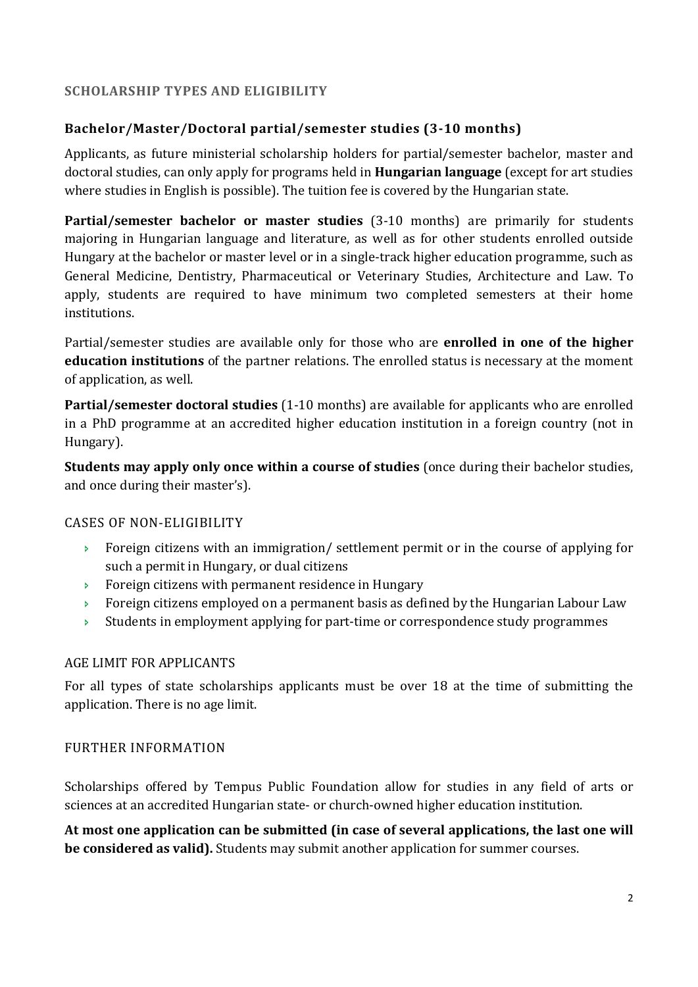## **SCHOLARSHIP TYPES AND ELIGIBILITY**

# **Bachelor/Master/Doctoral partial/semester studies (3-10 months)**

Applicants, as future ministerial scholarship holders for partial/semester bachelor, master and doctoral studies, can only apply for programs held in **Hungarian language** (except for art studies where studies in English is possible). The tuition fee is covered by the Hungarian state.

**Partial/semester bachelor or master studies** (3-10 months) are primarily for students majoring in Hungarian language and literature, as well as for other students enrolled outside Hungary at the bachelor or master level or in a single-track higher education programme, such as General Medicine, Dentistry, Pharmaceutical or Veterinary Studies, Architecture and Law. To apply, students are required to have minimum two completed semesters at their home institutions.

Partial/semester studies are available only for those who are **enrolled in one of the higher education institutions** of the partner relations. The enrolled status is necessary at the moment of application, as well.

**Partial/semester doctoral studies** (1-10 months) are available for applicants who are enrolled in a PhD programme at an accredited higher education institution in a foreign country (not in Hungary).

**Students may apply only once within a course of studies** (once during their bachelor studies, and once during their master's).

### CASES OF NON-ELIGIBILITY

- Foreign citizens with an immigration/ settlement permit or in the course of applying for such a permit in Hungary, or dual citizens
- Foreign citizens with permanent residence in Hungary
- Foreign citizens employed on a permanent basis as defined by the Hungarian Labour Law
- $\rightarrow$  Students in employment applying for part-time or correspondence study programmes

### AGE LIMIT FOR APPLICANTS

For all types of state scholarships applicants must be over 18 at the time of submitting the application. There is no age limit.

### FURTHER INFORMATION

Scholarships offered by Tempus Public Foundation allow for studies in any field of arts or sciences at an accredited Hungarian state- or church-owned higher education institution.

**At most one application can be submitted (in case of several applications, the last one will be considered as valid).** Students may submit another application for summer courses.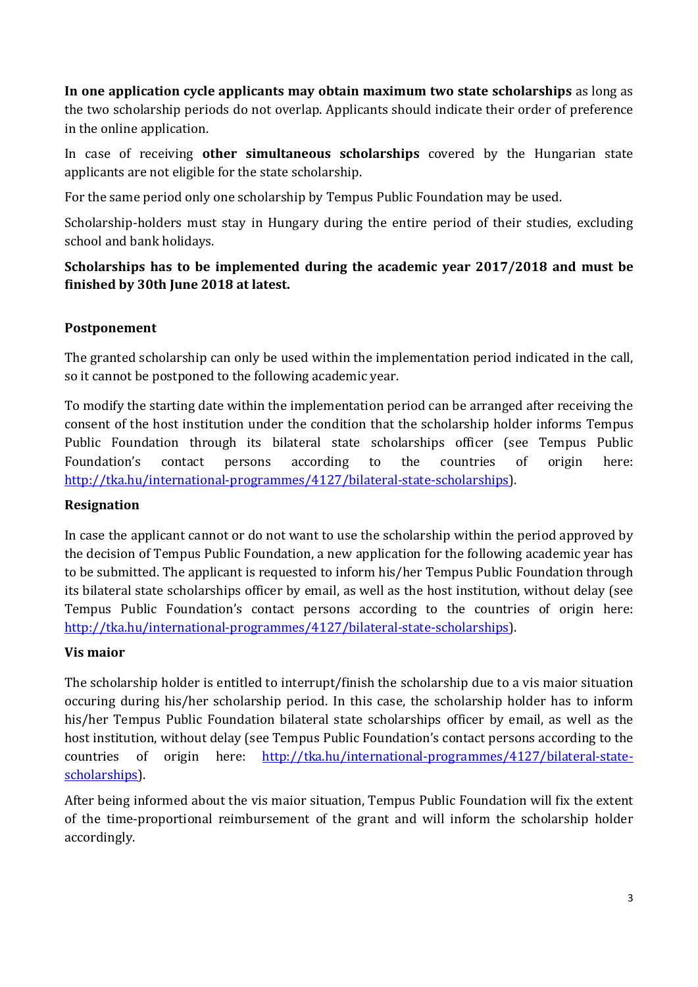**In one application cycle applicants may obtain maximum two state scholarships** as long as the two scholarship periods do not overlap. Applicants should indicate their order of preference in the online application.

In case of receiving **other simultaneous scholarships** covered by the Hungarian state applicants are not eligible for the state scholarship.

For the same period only one scholarship by Tempus Public Foundation may be used.

Scholarship-holders must stay in Hungary during the entire period of their studies, excluding school and bank holidays.

# **Scholarships has to be implemented during the academic year 2017/2018 and must be finished by 30th June 2018 at latest.**

# **Postponement**

The granted scholarship can only be used within the implementation period indicated in the call, so it cannot be postponed to the following academic year.

To modify the starting date within the implementation period can be arranged after receiving the consent of the host institution under the condition that the scholarship holder informs Tempus Public Foundation through its bilateral state scholarships officer (see Tempus Public Foundation's contact persons according to the countries of origin here: http://tka.hu/international-programmes/4127/bilateral-state-scholarships).

# **Resignation**

In case the applicant cannot or do not want to use the scholarship within the period approved by the decision of Tempus Public Foundation, a new application for the following academic year has to be submitted. The applicant is requested to inform his/her Tempus Public Foundation through its bilateral state scholarships officer by email, as well as the host institution, without delay (see Tempus Public Foundation's contact persons according to the countries of origin here: http://tka.hu/international-programmes/4127/bilateral-state-scholarships).

# **Vis maior**

The scholarship holder is entitled to interrupt/finish the scholarship due to a vis maior situation occuring during his/her scholarship period. In this case, the scholarship holder has to inform his/her Tempus Public Foundation bilateral state scholarships officer by email, as well as the host institution, without delay (see Tempus Public Foundation's contact persons according to the countries of origin here: http://tka.hu/international-programmes/4127/bilateral-statescholarships).

After being informed about the vis maior situation, Tempus Public Foundation will fix the extent of the time-proportional reimbursement of the grant and will inform the scholarship holder accordingly.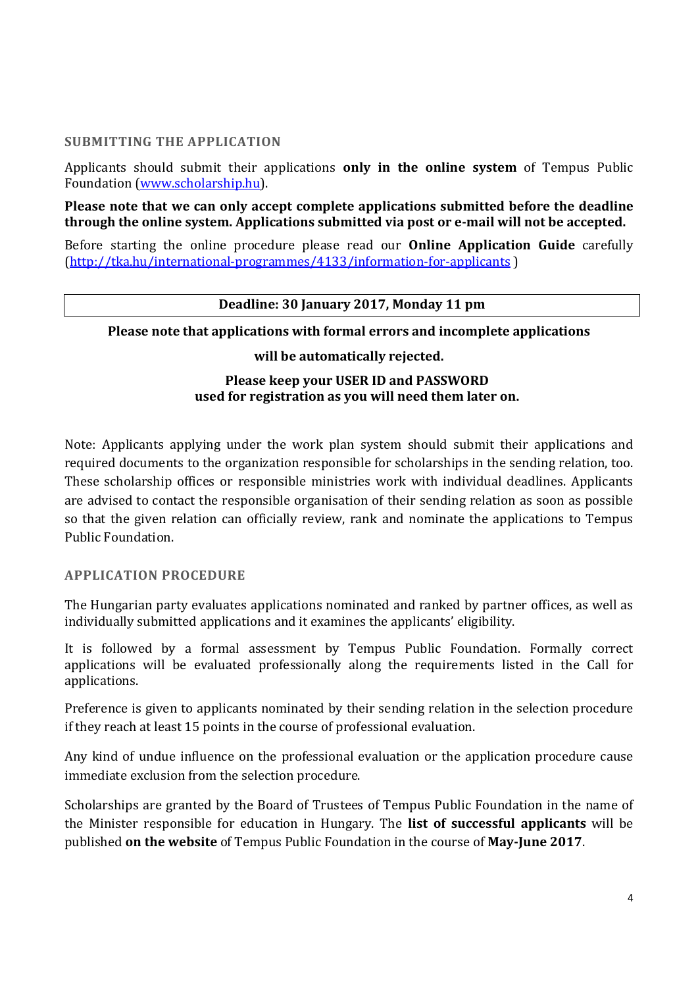#### **SUBMITTING THE APPLICATION**

Applicants should submit their applications **only in the online system** of Tempus Public Foundation (www.scholarship.hu).

**Please note that we can only accept complete applications submitted before the deadline through the online system. Applications submitted via post or e-mail will not be accepted.** 

Before starting the online procedure please read our **Online Application Guide** carefully (http://tka.hu/international-programmes/4133/information-for-applicants )

#### **Deadline: 30 January 2017, Monday 11 pm**

#### **Please note that applications with formal errors and incomplete applications**

#### **will be automatically rejected.**

### **Please keep your USER ID and PASSWORD used for registration as you will need them later on.**

Note: Applicants applying under the work plan system should submit their applications and required documents to the organization responsible for scholarships in the sending relation, too. These scholarship offices or responsible ministries work with individual deadlines. Applicants are advised to contact the responsible organisation of their sending relation as soon as possible so that the given relation can officially review, rank and nominate the applications to Tempus Public Foundation.

#### **APPLICATION PROCEDURE**

The Hungarian party evaluates applications nominated and ranked by partner offices, as well as individually submitted applications and it examines the applicants' eligibility.

It is followed by a formal assessment by Tempus Public Foundation. Formally correct applications will be evaluated professionally along the requirements listed in the Call for applications.

Preference is given to applicants nominated by their sending relation in the selection procedure if they reach at least 15 points in the course of professional evaluation.

Any kind of undue influence on the professional evaluation or the application procedure cause immediate exclusion from the selection procedure.

Scholarships are granted by the Board of Trustees of Tempus Public Foundation in the name of the Minister responsible for education in Hungary. The **list of successful applicants** will be published **on the website** of Tempus Public Foundation in the course of **May-June 2017**.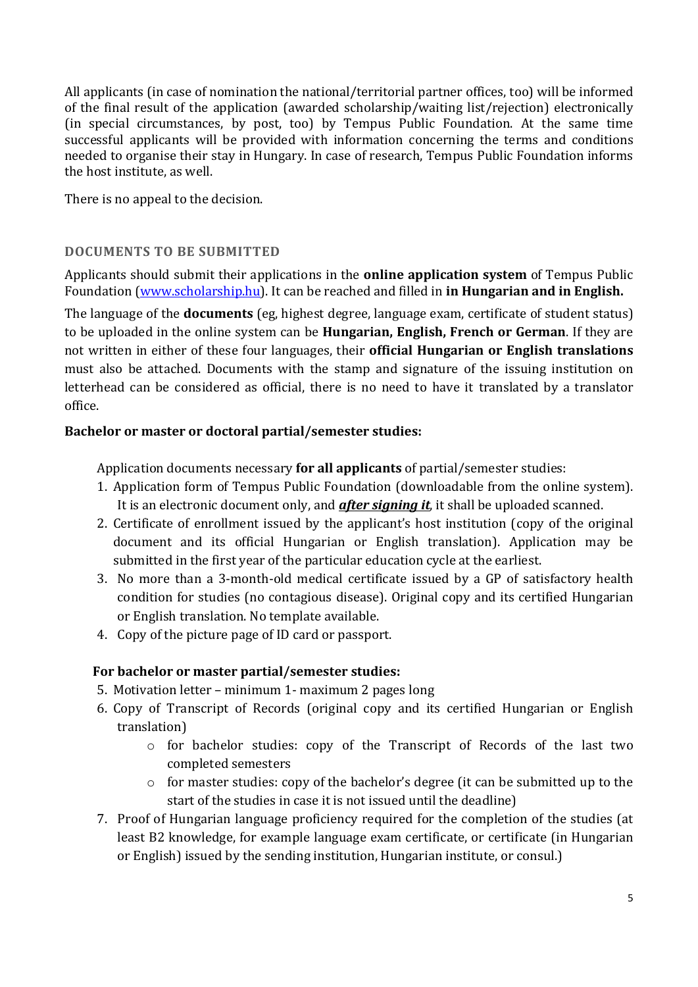All applicants (in case of nomination the national/territorial partner offices, too) will be informed of the final result of the application (awarded scholarship/waiting list/rejection) electronically (in special circumstances, by post, too) by Tempus Public Foundation. At the same time successful applicants will be provided with information concerning the terms and conditions needed to organise their stay in Hungary. In case of research, Tempus Public Foundation informs the host institute, as well.

There is no appeal to the decision.

## **DOCUMENTS TO BE SUBMITTED**

Applicants should submit their applications in the **online application system** of Tempus Public Foundation (www.scholarship.hu). It can be reached and filled in **in Hungarian and in English.** 

The language of the **documents** (eg, highest degree, language exam, certificate of student status) to be uploaded in the online system can be **Hungarian, English, French or German**. If they are not written in either of these four languages, their **official Hungarian or English translations** must also be attached. Documents with the stamp and signature of the issuing institution on letterhead can be considered as official, there is no need to have it translated by a translator office.

### **Bachelor or master or doctoral partial/semester studies:**

Application documents necessary **for all applicants** of partial/semester studies:

- 1. Application form of Tempus Public Foundation (downloadable from the online system). It is an electronic document only, and *after signing it*, it shall be uploaded scanned.
- 2. Certificate of enrollment issued by the applicant's host institution (copy of the original document and its official Hungarian or English translation). Application may be submitted in the first year of the particular education cycle at the earliest.
- 3. No more than a 3-month-old medical certificate issued by a GP of satisfactory health condition for studies (no contagious disease). Original copy and its certified Hungarian or English translation. No template available.
- 4. Copy of the picture page of ID card or passport.

### **For bachelor or master partial/semester studies:**

- 5. Motivation letter minimum 1- maximum 2 pages long
- 6. Copy of Transcript of Records (original copy and its certified Hungarian or English translation)
	- o for bachelor studies: copy of the Transcript of Records of the last two completed semesters
	- $\circ$  for master studies: copy of the bachelor's degree (it can be submitted up to the start of the studies in case it is not issued until the deadline)
- 7. Proof of Hungarian language proficiency required for the completion of the studies (at least B2 knowledge, for example language exam certificate, or certificate (in Hungarian or English) issued by the sending institution, Hungarian institute, or consul.)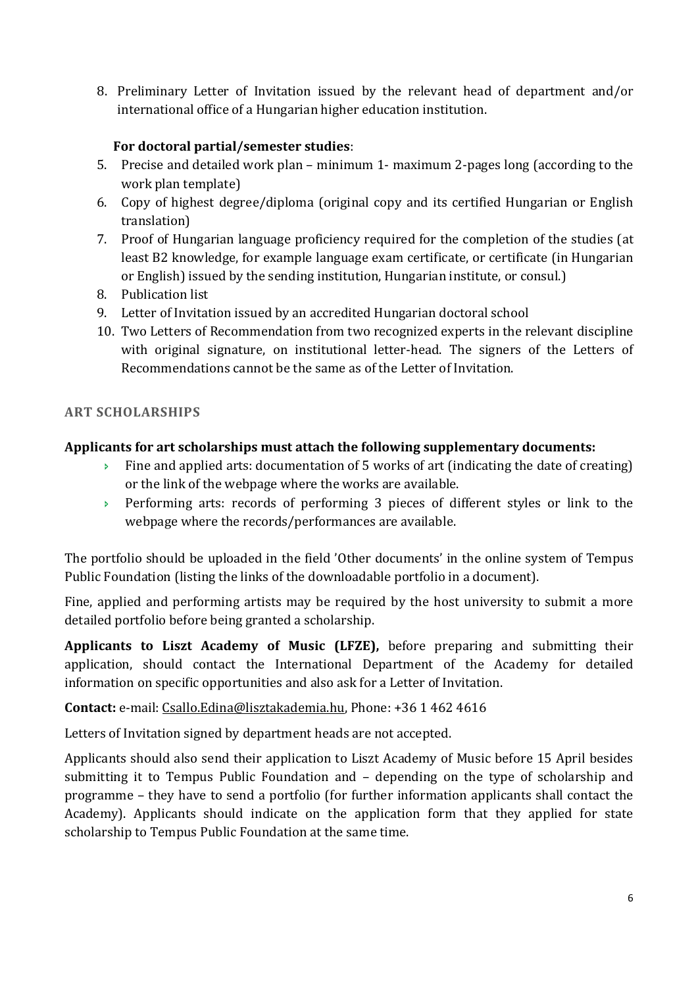8. Preliminary Letter of Invitation issued by the relevant head of department and/or international office of a Hungarian higher education institution.

# **For doctoral partial/semester studies**:

- 5. Precise and detailed work plan minimum 1- maximum 2-pages long (according to the work plan template)
- 6. Copy of highest degree/diploma (original copy and its certified Hungarian or English translation)
- 7. Proof of Hungarian language proficiency required for the completion of the studies (at least B2 knowledge, for example language exam certificate, or certificate (in Hungarian or English) issued by the sending institution, Hungarian institute, or consul.)
- 8. Publication list
- 9. Letter of Invitation issued by an accredited Hungarian doctoral school
- 10. Two Letters of Recommendation from two recognized experts in the relevant discipline with original signature, on institutional letter-head. The signers of the Letters of Recommendations cannot be the same as of the Letter of Invitation.

# **ART SCHOLARSHIPS**

# **Applicants for art scholarships must attach the following supplementary documents:**

- Fine and applied arts: documentation of 5 works of art (indicating the date of creating) or the link of the webpage where the works are available.
- Performing arts: records of performing 3 pieces of different styles or link to the webpage where the records/performances are available.

The portfolio should be uploaded in the field 'Other documents' in the online system of Tempus Public Foundation (listing the links of the downloadable portfolio in a document).

Fine, applied and performing artists may be required by the host university to submit a more detailed portfolio before being granted a scholarship.

**Applicants to Liszt Academy of Music (LFZE),** before preparing and submitting their application, should contact the International Department of the Academy for detailed information on specific opportunities and also ask for a Letter of Invitation.

# **Contact:** e-mail: Csallo.Edina@lisztakademia.hu, Phone: +36 1 462 4616

Letters of Invitation signed by department heads are not accepted.

Applicants should also send their application to Liszt Academy of Music before 15 April besides submitting it to Tempus Public Foundation and – depending on the type of scholarship and programme – they have to send a portfolio (for further information applicants shall contact the Academy). Applicants should indicate on the application form that they applied for state scholarship to Tempus Public Foundation at the same time.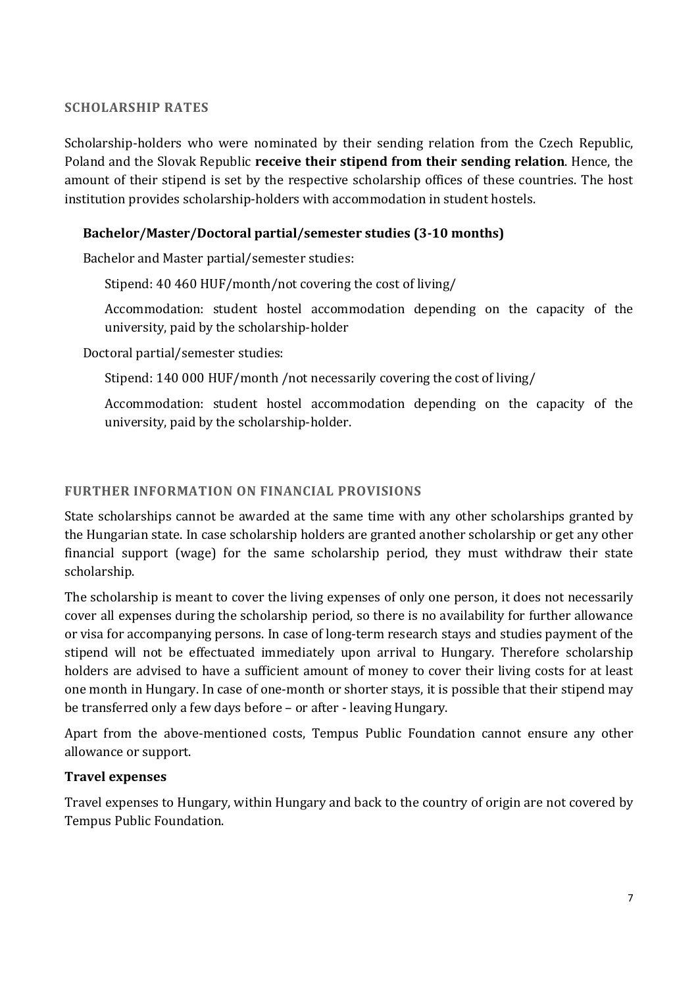### **SCHOLARSHIP RATES**

Scholarship-holders who were nominated by their sending relation from the Czech Republic, Poland and the Slovak Republic **receive their stipend from their sending relation**. Hence, the amount of their stipend is set by the respective scholarship offices of these countries. The host institution provides scholarship-holders with accommodation in student hostels.

# **Bachelor/Master/Doctoral partial/semester studies (3-10 months)**

Bachelor and Master partial/semester studies:

Stipend: 40 460 HUF/month/not covering the cost of living/

Accommodation: student hostel accommodation depending on the capacity of the university, paid by the scholarship-holder

Doctoral partial/semester studies:

Stipend: 140 000 HUF/month /not necessarily covering the cost of living/

Accommodation: student hostel accommodation depending on the capacity of the university, paid by the scholarship-holder.

### **FURTHER INFORMATION ON FINANCIAL PROVISIONS**

State scholarships cannot be awarded at the same time with any other scholarships granted by the Hungarian state. In case scholarship holders are granted another scholarship or get any other financial support (wage) for the same scholarship period, they must withdraw their state scholarship.

The scholarship is meant to cover the living expenses of only one person, it does not necessarily cover all expenses during the scholarship period, so there is no availability for further allowance or visa for accompanying persons. In case of long-term research stays and studies payment of the stipend will not be effectuated immediately upon arrival to Hungary. Therefore scholarship holders are advised to have a sufficient amount of money to cover their living costs for at least one month in Hungary. In case of one-month or shorter stays, it is possible that their stipend may be transferred only a few days before – or after - leaving Hungary.

Apart from the above-mentioned costs, Tempus Public Foundation cannot ensure any other allowance or support.

### **Travel expenses**

Travel expenses to Hungary, within Hungary and back to the country of origin are not covered by Tempus Public Foundation.